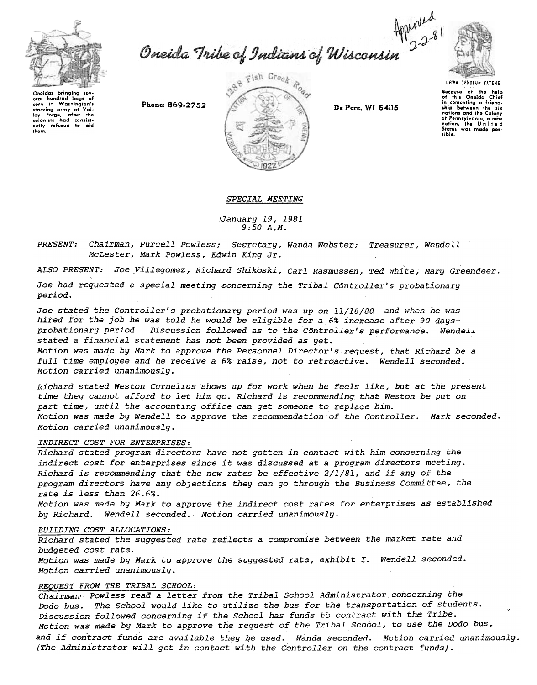

starving army at Val-<br>ley Forge, after the

lay Forge, after the

corn

thom.

baas o to Washington's

Oneida Tribe of Indians of Wisconsin 2281



**UGWA DENOLUN YATENE** 

Bocause of the help<br>of this Oneida Chief<br>in comenting a friend-<br>ship between the six nations and the Colony nations and the Colory<br>of Pennsylvania, a new<br>nation, the United<br>States was made pos-**ATALLA** 

Phone: 869-2752



De Pere, WI 54115

SPECIAL MEETING

January 19, 1981  $9:50 A.M.$ 

PRESENT: Chairman, Purcell Powless; Secretary, Wanda Webster; Treasurer, Wendell McLester, Mark Powless, Edwin King Jr.

ALSO PRESENT: Joe Villegomez, Richard Shikoski, Carl Rasmussen, Ted White, Mary Greendeer. Joe had requested a special meeting concerning the Tribal Controller's probationary period.

Joe stated the Controller's probationary period was up on 11/18/80 and when he was hired for the job he was told he would be eligible for a 6% increase after 90 daysprobationary period. Discussion followed as to the Controller's performance. Wendell stated a financial statement has not been provided as yet.

Motion was made by Mark to approve the Personnel Director's request, that Richard be a full time employee and he receive a 6% raise, not to retroactive. Wendell seconded. Motion carried unanimously.

Richard stated Weston Cornelius shows up for work when he feels like, but at the present time they cannot afford to let him go. Richard is recommending that Weston be put on part time, until the accounting office can get someone to replace him. Motion was made by Wendell to approve the recommendation of the Controller. Mark seconded. Motion carried unanimously.

## INDIRECT COST FOR ENTERPRISES:

Richard stated program directors have not gotten in contact with him concerning the indirect cost for enterprises since it was discussed at a program directors meeting. Richard is recommending that the new rates be effective 2/1/81, and if any of the program directors have any objections they can go through the Business Committee, the rate is less than 26.6%.

Motion was made by Mark to approve the indirect cost rates for enterprises as established by Richard. Wendell seconded. Motion carried unanimously.

## BUILDING COST ALLOCATIONS:

Richard stated the suggested rate reflects a compromise between the market rate and budgeted cost rate.

Motion was made by Mark to approve the suggested rate, exhibit I. Wendell seconded. Motion carried unanimously.

## REOUEST FROM THE TRIBAL SCHOOL:

Chairman : Powless read a letter from the Tribal School Administrator concerning the Dodo bus. The School would like to utilize the bus for the transportation of students. Discussion followed concerning if the School has funds to contract with the Tribe. Motion was made by Mark to approve the request of the Tribal School, to use the Dodo bus, and if contract funds are available they be used. Wanda seconded. Motion carried unanimously. (The Administrator will get in contact with the Controller on the contract funds).